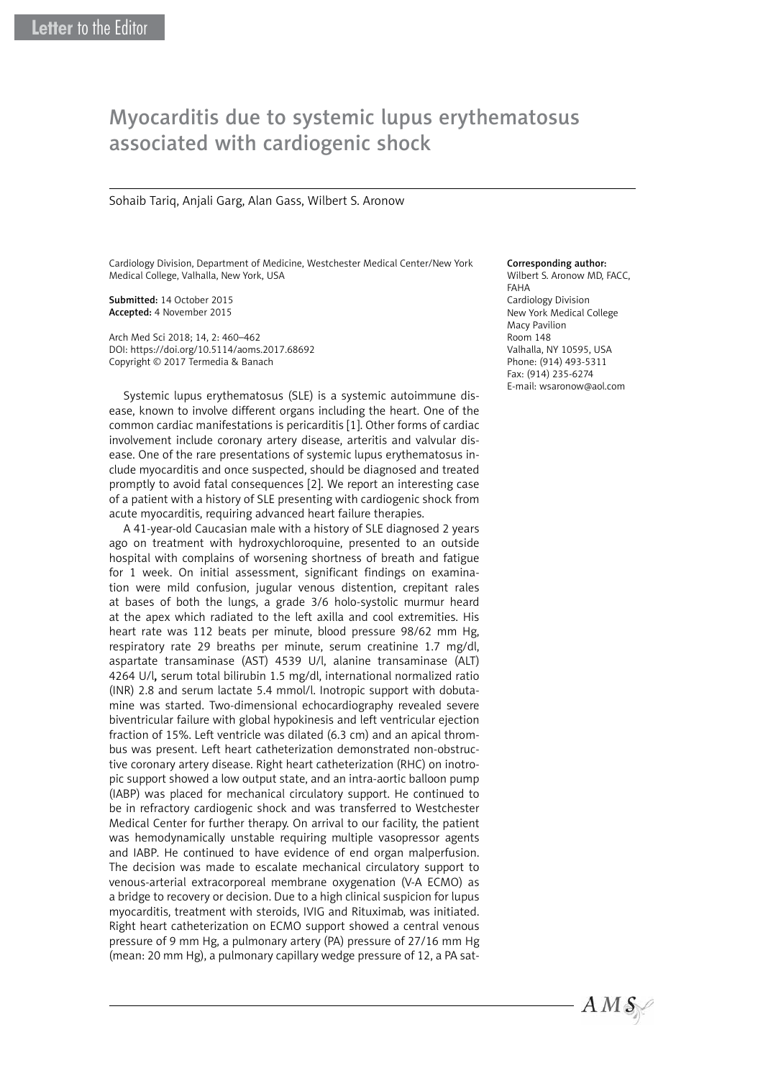# Myocarditis due to systemic lupus erythematosus associated with cardiogenic shock

## Sohaib Tariq, Anjali Garg, Alan Gass, Wilbert S. Aronow

Cardiology Division, Department of Medicine, Westchester Medical Center/New York Medical College, Valhalla, New York, USA

Submitted: 14 October 2015 Accepted: 4 November 2015

Arch Med Sci 2018; 14, 2: 460–462 DOI: https://doi.org/10.5114/aoms.2017.68692 Copyright © 2017 Termedia & Banach

Systemic lupus erythematosus (SLE) is a systemic autoimmune disease, known to involve different organs including the heart. One of the common cardiac manifestations is pericarditis [1]. Other forms of cardiac involvement include coronary artery disease, arteritis and valvular disease. One of the rare presentations of systemic lupus erythematosus include myocarditis and once suspected, should be diagnosed and treated promptly to avoid fatal consequences [2]. We report an interesting case of a patient with a history of SLE presenting with cardiogenic shock from acute myocarditis, requiring advanced heart failure therapies.

A 41-year-old Caucasian male with a history of SLE diagnosed 2 years ago on treatment with hydroxychloroquine, presented to an outside hospital with complains of worsening shortness of breath and fatigue for 1 week. On initial assessment, significant findings on examination were mild confusion, jugular venous distention, crepitant rales at bases of both the lungs, a grade 3/6 holo-systolic murmur heard at the apex which radiated to the left axilla and cool extremities. His heart rate was 112 beats per minute, blood pressure 98/62 mm Hg, respiratory rate 29 breaths per minute, serum creatinine 1.7 mg/dl, aspartate transaminase (AST) 4539 U/l, alanine transaminase (ALT) 4264 U/l, serum total bilirubin 1.5 mg/dl, international normalized ratio (INR) 2.8 and serum lactate 5.4 mmol/l. Inotropic support with dobutamine was started. Two-dimensional echocardiography revealed severe biventricular failure with global hypokinesis and left ventricular ejection fraction of 15%. Left ventricle was dilated (6.3 cm) and an apical thrombus was present. Left heart catheterization demonstrated non-obstructive coronary artery disease. Right heart catheterization (RHC) on inotropic support showed a low output state, and an intra-aortic balloon pump (IABP) was placed for mechanical circulatory support. He continued to be in refractory cardiogenic shock and was transferred to Westchester Medical Center for further therapy. On arrival to our facility, the patient was hemodynamically unstable requiring multiple vasopressor agents and IABP. He continued to have evidence of end organ malperfusion. The decision was made to escalate mechanical circulatory support to venous-arterial extracorporeal membrane oxygenation (V-A ECMO) as a bridge to recovery or decision. Due to a high clinical suspicion for lupus myocarditis, treatment with steroids, IVIG and Rituximab, was initiated. Right heart catheterization on ECMO support showed a central venous pressure of 9 mm Hg, a pulmonary artery (PA) pressure of 27/16 mm Hg (mean: 20 mm Hg), a pulmonary capillary wedge pressure of 12, a PA sat-

#### Corresponding author:

Wilbert S. Aronow MD, FACC, FAHA Cardiology Division New York Medical College Macy Pavilion Room 148 Valhalla, NY 10595, USA Phone: (914) 493-5311 Fax: (914) 235-6274 E-mail: [wsaronow@aol.com](mailto:wsaronow@aol.com)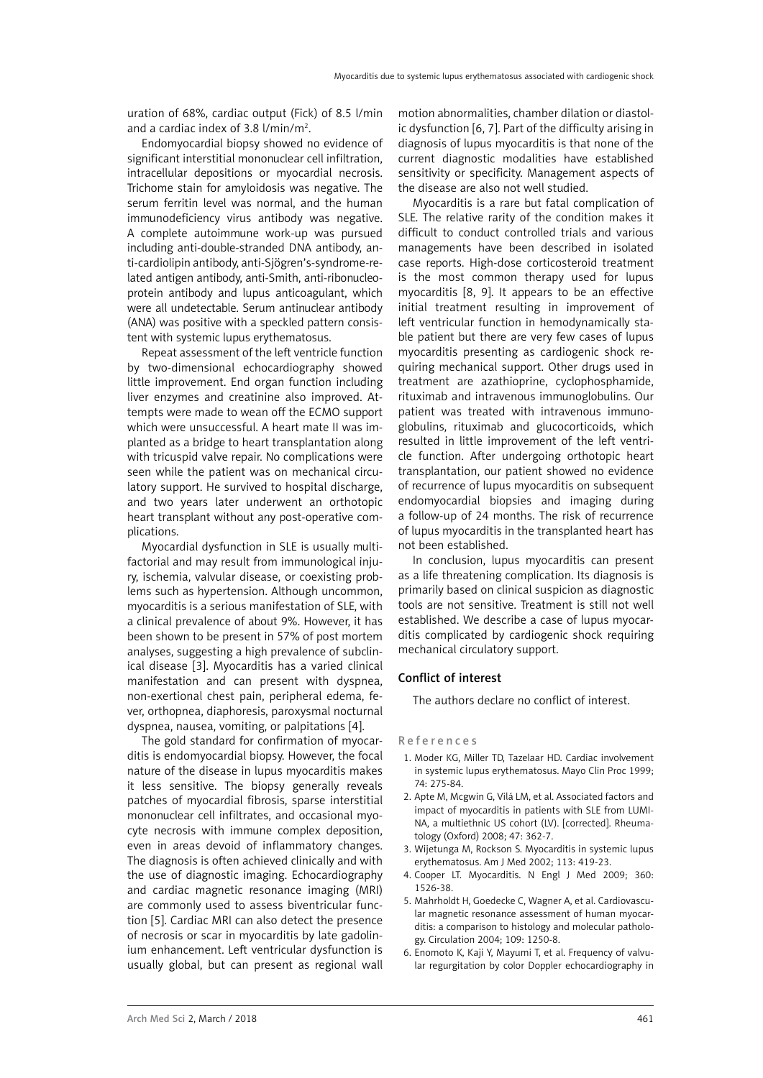uration of 68%, cardiac output (Fick) of 8.5 l/min and a cardiac index of 3.8 l/min/m2 .

Endomyocardial biopsy showed no evidence of significant interstitial mononuclear cell infiltration, intracellular depositions or myocardial necrosis. Trichome stain for amyloidosis was negative. The serum ferritin level was normal, and the human immunodeficiency virus antibody was negative. A complete autoimmune work-up was pursued including anti-double-stranded DNA antibody, anti-cardiolipin antibody, anti-Sjögren's-syndrome-related antigen antibody, anti-Smith, anti-ribonucleoprotein antibody and lupus anticoagulant, which were all undetectable. Serum antinuclear antibody (ANA) was positive with a speckled pattern consistent with systemic lupus erythematosus.

Repeat assessment of the left ventricle function by two-dimensional echocardiography showed little improvement. End organ function including liver enzymes and creatinine also improved. Attempts were made to wean off the ECMO support which were unsuccessful. A heart mate II was implanted as a bridge to heart transplantation along with tricuspid valve repair. No complications were seen while the patient was on mechanical circulatory support. He survived to hospital discharge, and two years later underwent an orthotopic heart transplant without any post-operative complications.

Myocardial dysfunction in SLE is usually multifactorial and may result from immunological injury, ischemia, valvular disease, or coexisting problems such as hypertension. Although uncommon, myocarditis is a serious manifestation of SLE, with a clinical prevalence of about 9%. However, it has been shown to be present in 57% of post mortem analyses, suggesting a high prevalence of subclinical disease [3]. Myocarditis has a varied clinical manifestation and can present with dyspnea, non-exertional chest pain, peripheral edema, fever, orthopnea, diaphoresis, paroxysmal nocturnal dyspnea, nausea, vomiting, or palpitations [4].

The gold standard for confirmation of myocarditis is endomyocardial biopsy. However, the focal nature of the disease in lupus myocarditis makes it less sensitive. The biopsy generally reveals patches of myocardial fibrosis, sparse interstitial mononuclear cell infiltrates, and occasional myocyte necrosis with immune complex deposition, even in areas devoid of inflammatory changes. The diagnosis is often achieved clinically and with the use of diagnostic imaging. Echocardiography and cardiac magnetic resonance imaging (MRI) are commonly used to assess biventricular function [5]. Cardiac MRI can also detect the presence of necrosis or scar in myocarditis by late gadolinium enhancement. Left ventricular dysfunction is usually global, but can present as regional wall motion abnormalities, chamber dilation or diastolic dysfunction [6, 7]. Part of the difficulty arising in diagnosis of lupus myocarditis is that none of the current diagnostic modalities have established sensitivity or specificity. Management aspects of the disease are also not well studied.

Myocarditis is a rare but fatal complication of SLE. The relative rarity of the condition makes it difficult to conduct controlled trials and various managements have been described in isolated case reports. High-dose corticosteroid treatment is the most common therapy used for lupus myocarditis [8, 9]. It appears to be an effective initial treatment resulting in improvement of left ventricular function in hemodynamically stable patient but there are very few cases of lupus myocarditis presenting as cardiogenic shock requiring mechanical support. Other drugs used in treatment are azathioprine, cyclophosphamide, rituximab and intravenous immunoglobulins. Our patient was treated with intravenous immunoglobulins, rituximab and glucocorticoids, which resulted in little improvement of the left ventricle function. After undergoing orthotopic heart transplantation, our patient showed no evidence of recurrence of lupus myocarditis on subsequent endomyocardial biopsies and imaging during a follow-up of 24 months. The risk of recurrence of lupus myocarditis in the transplanted heart has not been established.

In conclusion, lupus myocarditis can present as a life threatening complication. Its diagnosis is primarily based on clinical suspicion as diagnostic tools are not sensitive. Treatment is still not well established. We describe a case of lupus myocarditis complicated by cardiogenic shock requiring mechanical circulatory support.

### Conflict of interest

The authors declare no conflict of interest.

#### References

- 1. Moder KG, Miller TD, Tazelaar HD. Cardiac involvement in systemic lupus erythematosus. Mayo Clin Proc 1999; 74: 275-84.
- 2. Apte M, Mcgwin G, Vilá LM, et al. Associated factors and impact of myocarditis in patients with SLE from LUMI-NA, a multiethnic US cohort (LV). [corrected]. Rheumatology (Oxford) 2008; 47: 362-7.
- 3. Wijetunga M, Rockson S. Myocarditis in systemic lupus erythematosus. Am J Med 2002; 113: 419-23.
- 4. Cooper LT. Myocarditis. N Engl J Med 2009; 360: 1526-38.
- 5. Mahrholdt H, Goedecke C, Wagner A, et al. Cardiovascular magnetic resonance assessment of human myocarditis: a comparison to histology and molecular pathology. Circulation 2004; 109: 1250-8.
- 6. Enomoto K, Kaji Y, Mayumi T, et al. Frequency of valvular regurgitation by color Doppler echocardiography in